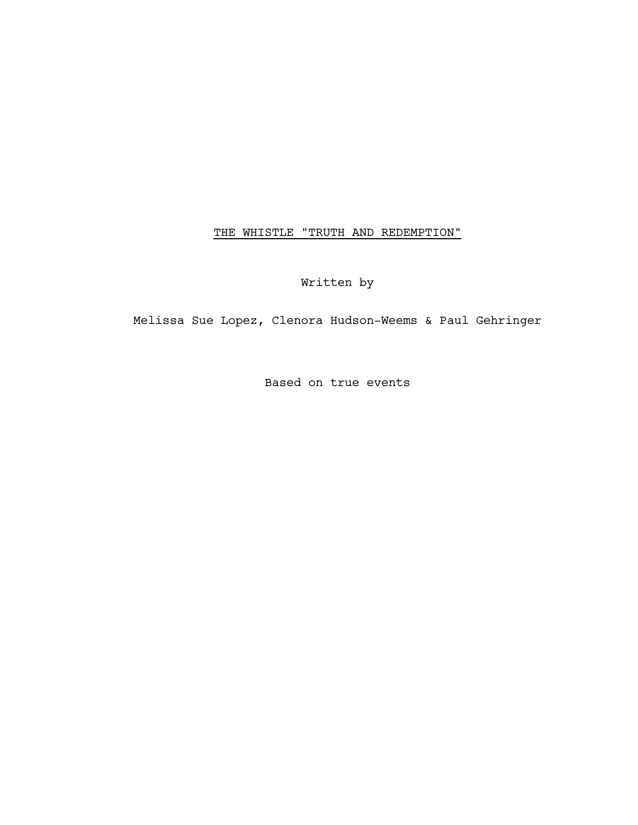# THE WHISTLE "TRUTH AND REDEMPTION"

Written by

Melissa Sue Lopez, Clenora Hudson-Weems & Paul Gehringer

Based on true events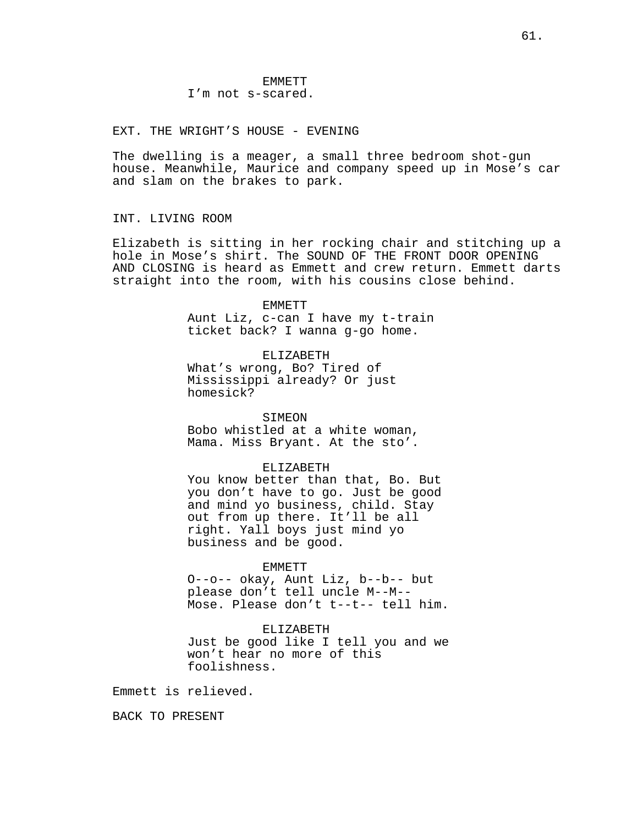EXT. THE WRIGHT'S HOUSE - EVENING

The dwelling is a meager, a small three bedroom shot-gun house. Meanwhile, Maurice and company speed up in Mose's car and slam on the brakes to park.

INT. LIVING ROOM

Elizabeth is sitting in her rocking chair and stitching up a hole in Mose's shirt. The SOUND OF THE FRONT DOOR OPENING AND CLOSING is heard as Emmett and crew return. Emmett darts straight into the room, with his cousins close behind.

EMMETT

Aunt Liz, c-can I have my t-train ticket back? I wanna g-go home.

ELIZABETH What's wrong, Bo? Tired of Mississippi already? Or just homesick?

### SIMEON

Bobo whistled at a white woman, Mama. Miss Bryant. At the sto'.

#### ELIZABETH

You know better than that, Bo. But you don't have to go. Just be good and mind yo business, child. Stay out from up there. It'll be all right. Yall boys just mind yo business and be good.

#### EMMETT

O--o-- okay, Aunt Liz, b--b-- but please don't tell uncle M--M-- Mose. Please don't t--t-- tell him.

# ELIZABETH

Just be good like I tell you and we won't hear no more of this foolishness.

Emmett is relieved.

BACK TO PRESENT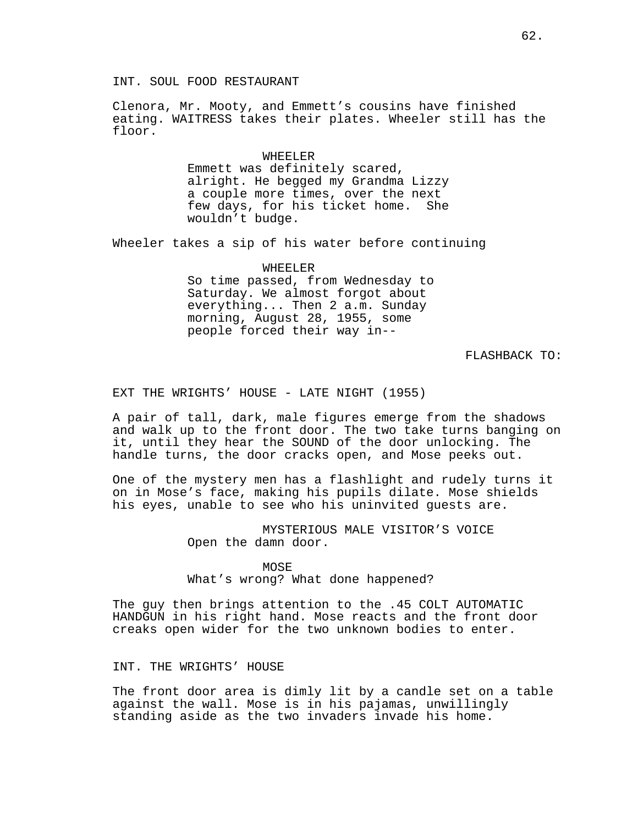INT. SOUL FOOD RESTAURANT

Clenora, Mr. Mooty, and Emmett's cousins have finished eating. WAITRESS takes their plates. Wheeler still has the floor.

> WHEELER Emmett was definitely scared, alright. He begged my Grandma Lizzy a couple more times, over the next few days, for his ticket home. She wouldn't budge.

Wheeler takes a sip of his water before continuing

WHEELER So time passed, from Wednesday to Saturday. We almost forgot about everything... Then 2 a.m. Sunday morning, August 28, 1955, some people forced their way in--

FLASHBACK TO:

EXT THE WRIGHTS' HOUSE - LATE NIGHT (1955)

A pair of tall, dark, male figures emerge from the shadows and walk up to the front door. The two take turns banging on it, until they hear the SOUND of the door unlocking. The handle turns, the door cracks open, and Mose peeks out.

One of the mystery men has a flashlight and rudely turns it on in Mose's face, making his pupils dilate. Mose shields his eyes, unable to see who his uninvited guests are.

> MYSTERIOUS MALE VISITOR'S VOICE Open the damn door.

MOSE What's wrong? What done happened?

The guy then brings attention to the .45 COLT AUTOMATIC HANDGUN in his right hand. Mose reacts and the front door creaks open wider for the two unknown bodies to enter.

INT. THE WRIGHTS' HOUSE

The front door area is dimly lit by a candle set on a table against the wall. Mose is in his pajamas, unwillingly standing aside as the two invaders invade his home.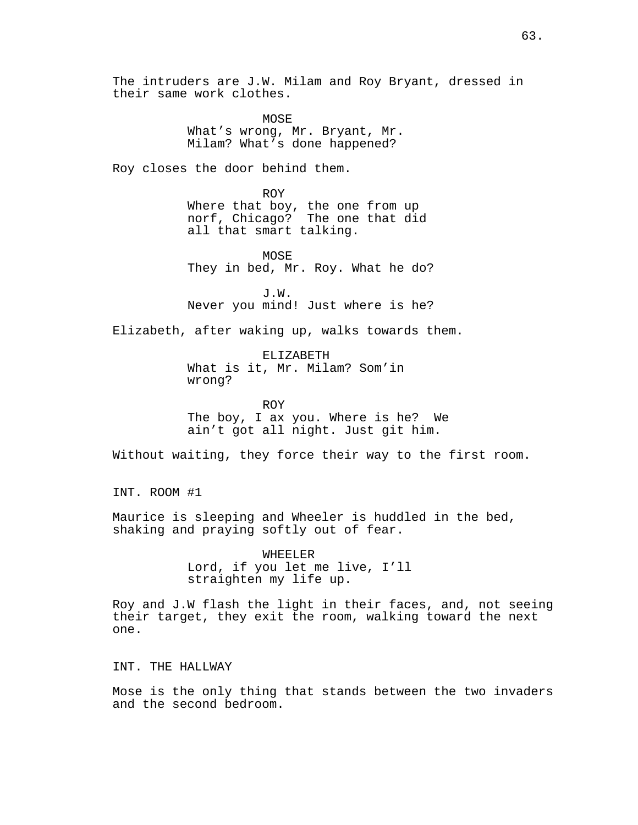The intruders are J.W. Milam and Roy Bryant, dressed in their same work clothes.

> **MOSE** What's wrong, Mr. Bryant, Mr. Milam? What's done happened?

Roy closes the door behind them.

ROY Where that boy, the one from up norf, Chicago? The one that did all that smart talking.

MOSE They in bed, Mr. Roy. What he do?

J.W. Never you mind! Just where is he?

Elizabeth, after waking up, walks towards them.

ELIZABETH What is it, Mr. Milam? Som'in wrong?

ROY The boy, I ax you. Where is he? We ain't got all night. Just git him.

Without waiting, they force their way to the first room.

INT. ROOM #1

Maurice is sleeping and Wheeler is huddled in the bed, shaking and praying softly out of fear.

> WHEELER Lord, if you let me live, I'll straighten my life up.

Roy and J.W flash the light in their faces, and, not seeing their target, they exit the room, walking toward the next one.

INT. THE HALLWAY

Mose is the only thing that stands between the two invaders and the second bedroom.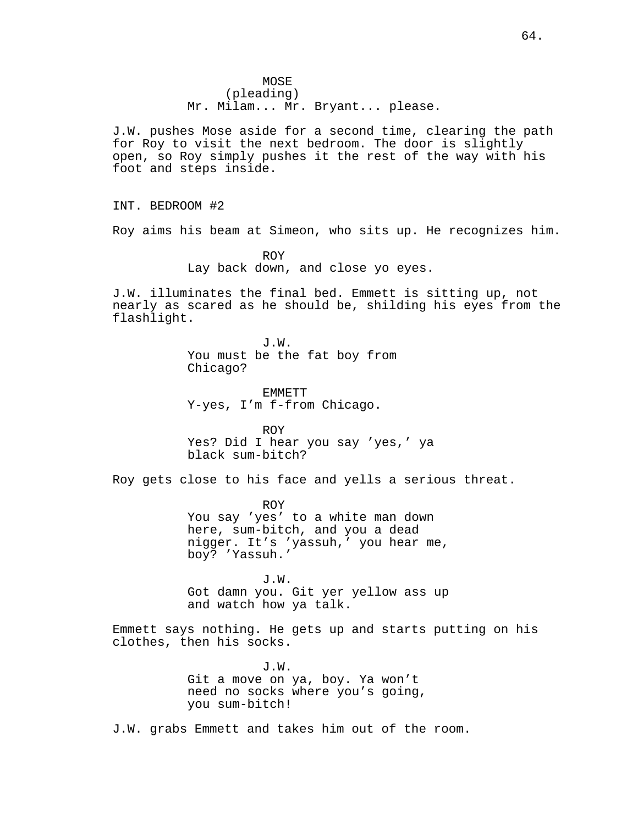MOSE (pleading) Mr. Milam... Mr. Bryant... please.

J.W. pushes Mose aside for a second time, clearing the path for Roy to visit the next bedroom. The door is slightly open, so Roy simply pushes it the rest of the way with his foot and steps inside.

INT. BEDROOM #2

Roy aims his beam at Simeon, who sits up. He recognizes him.

ROY Lay back down, and close yo eyes.

J.W. illuminates the final bed. Emmett is sitting up, not nearly as scared as he should be, shilding his eyes from the flashlight.

> J.W. You must be the fat boy from Chicago?

EMMETT Y-yes, I'm f-from Chicago.

ROY Yes? Did I hear you say 'yes,' ya black sum-bitch?

Roy gets close to his face and yells a serious threat.

ROY You say 'yes' to a white man down here, sum-bitch, and you a dead nigger. It's 'yassuh,' you hear me, boy? 'Yassuh.'

J.W. Got damn you. Git yer yellow ass up and watch how ya talk.

Emmett says nothing. He gets up and starts putting on his clothes, then his socks.

> J.W. Git a move on ya, boy. Ya won't need no socks where you's going, you sum-bitch!

J.W. grabs Emmett and takes him out of the room.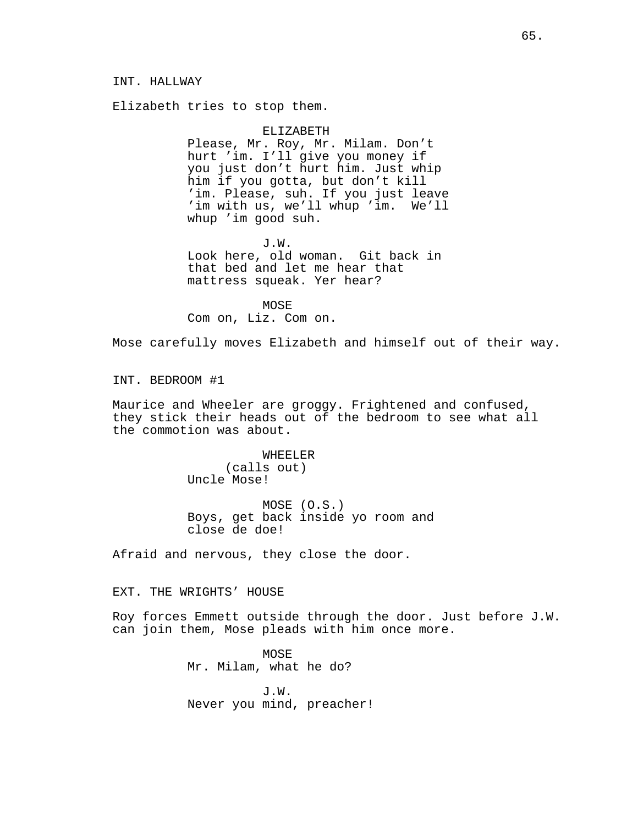Elizabeth tries to stop them.

ELIZABETH Please, Mr. Roy, Mr. Milam. Don't hurt 'im. I'll give you money if you just don't hurt him. Just whip him if you gotta, but don't kill 'im. Please, suh. If you just leave 'im with us, we'll whup 'im. We'll whup 'im good suh.

J.W. Look here, old woman. Git back in that bed and let me hear that mattress squeak. Yer hear?

MOSE Com on, Liz. Com on.

Mose carefully moves Elizabeth and himself out of their way.

INT. BEDROOM #1

Maurice and Wheeler are groggy. Frightened and confused, they stick their heads out of the bedroom to see what all the commotion was about.

> WHEELER (calls out) Uncle Mose!

MOSE (O.S.) Boys, get back inside yo room and close de doe!

Afraid and nervous, they close the door.

EXT. THE WRIGHTS' HOUSE

Roy forces Emmett outside through the door. Just before J.W. can join them, Mose pleads with him once more.

> MOSE Mr. Milam, what he do?

J.W. Never you mind, preacher!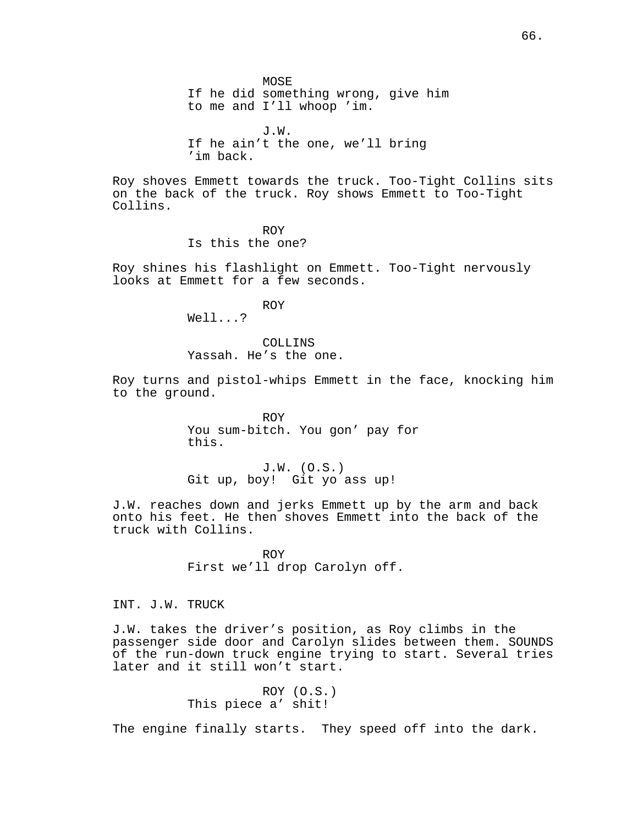MOSE If he did something wrong, give him to me and I'll whoop 'im.

J.W. If he ain't the one, we'll bring 'im back.

Roy shoves Emmett towards the truck. Too-Tight Collins sits on the back of the truck. Roy shows Emmett to Too-Tight Collins.

> ROY Is this the one?

Roy shines his flashlight on Emmett. Too-Tight nervously looks at Emmett for a few seconds.

ROY

Well...?

COLLINS Yassah. He's the one.

Roy turns and pistol-whips Emmett in the face, knocking him to the ground.

> ROY You sum-bitch. You gon' pay for this.

J.W. (O.S.) Git up, boy! Git yo ass up!

J.W. reaches down and jerks Emmett up by the arm and back onto his feet. He then shoves Emmett into the back of the truck with Collins.

> ROY First we'll drop Carolyn off.

INT. J.W. TRUCK

J.W. takes the driver's position, as Roy climbs in the passenger side door and Carolyn slides between them. SOUNDS of the run-down truck engine trying to start. Several tries later and it still won't start.

> ROY (O.S.) This piece a' shit!

The engine finally starts. They speed off into the dark.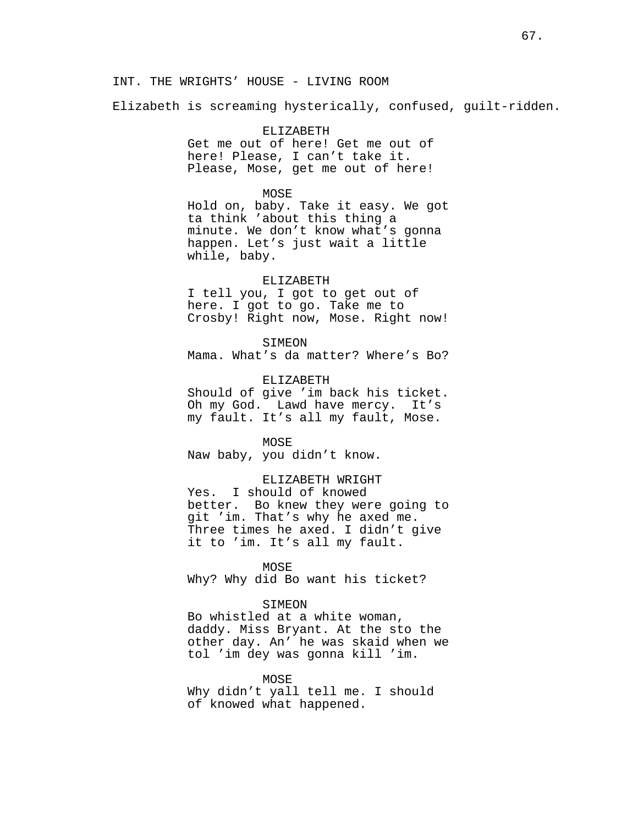# INT. THE WRIGHTS' HOUSE - LIVING ROOM

Elizabeth is screaming hysterically, confused, guilt-ridden.

### ELIZABETH

Get me out of here! Get me out of here! Please, I can't take it. Please, Mose, get me out of here!

#### MOSE

Hold on, baby. Take it easy. We got ta think 'about this thing a minute. We don't know what's gonna happen. Let's just wait a little while, baby.

#### ELIZABETH

I tell you, I got to get out of here. I got to go. Take me to Crosby! Right now, Mose. Right now!

#### SIMEON

Mama. What's da matter? Where's Bo?

ELIZABETH

Should of give 'im back his ticket. Oh my God. Lawd have mercy. It's my fault. It's all my fault, Mose.

#### MOSE

Naw baby, you didn't know.

# ELIZABETH WRIGHT

Yes. I should of knowed better. Bo knew they were going to git 'im. That's why he axed me. Three times he axed. I didn't give it to 'im. It's all my fault.

# MOSE

Why? Why did Bo want his ticket?

#### SIMEON

Bo whistled at a white woman, daddy. Miss Bryant. At the sto the other day. An' he was skaid when we tol 'im dey was gonna kill 'im.

#### MOSE

Why didn't yall tell me. I should of knowed what happened.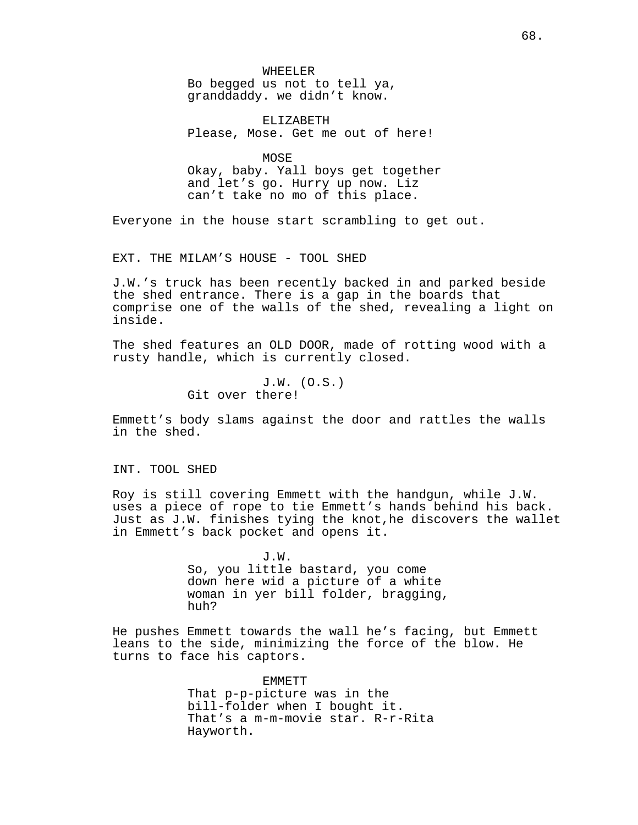WHEELER Bo begged us not to tell ya, granddaddy. we didn't know.

ELIZABETH Please, Mose. Get me out of here!

MOSE Okay, baby. Yall boys get together and let's go. Hurry up now. Liz can't take no mo of this place.

Everyone in the house start scrambling to get out.

EXT. THE MILAM'S HOUSE - TOOL SHED

J.W.'s truck has been recently backed in and parked beside the shed entrance. There is a gap in the boards that comprise one of the walls of the shed, revealing a light on inside.

The shed features an OLD DOOR, made of rotting wood with a rusty handle, which is currently closed.

> J.W. (O.S.) Git over there!

Emmett's body slams against the door and rattles the walls in the shed.

INT. TOOL SHED

Roy is still covering Emmett with the handgun, while J.W. uses a piece of rope to tie Emmett's hands behind his back. Just as J.W. finishes tying the knot,he discovers the wallet in Emmett's back pocket and opens it.

> J.W. So, you little bastard, you come down here wid a picture of a white woman in yer bill folder, bragging, huh?

He pushes Emmett towards the wall he's facing, but Emmett leans to the side, minimizing the force of the blow. He turns to face his captors.

> EMMETT That p-p-picture was in the bill-folder when I bought it. That's a m-m-movie star. R-r-Rita Hayworth.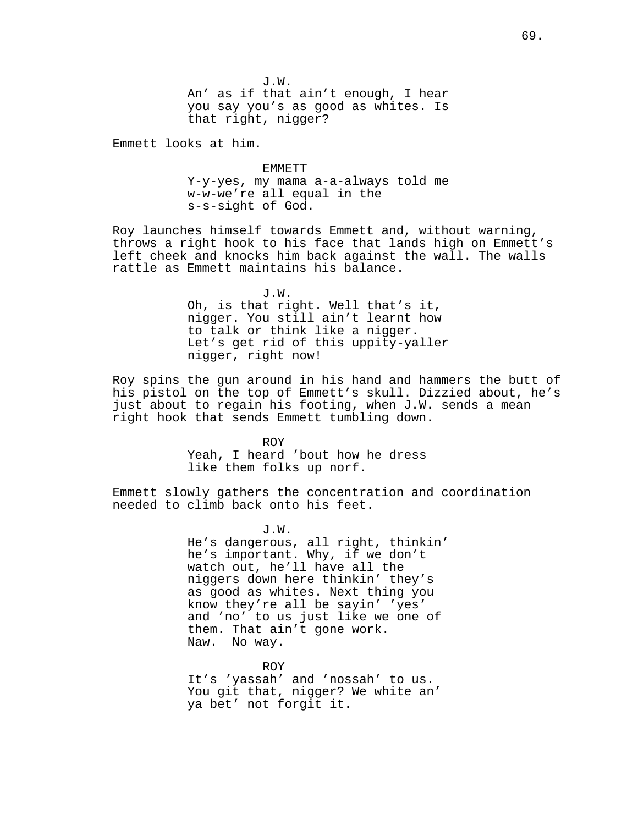J.W. An' as if that ain't enough, I hear you say you's as good as whites. Is that right, nigger?

Emmett looks at him.

EMMETT Y-y-yes, my mama a-a-always told me w-w-we're all equal in the s-s-sight of God.

Roy launches himself towards Emmett and, without warning, throws a right hook to his face that lands high on Emmett's left cheek and knocks him back against the wall. The walls rattle as Emmett maintains his balance.

> J.W. Oh, is that right. Well that's it, nigger. You still ain't learnt how to talk or think like a nigger. Let's get rid of this uppity-yaller nigger, right now!

Roy spins the gun around in his hand and hammers the butt of his pistol on the top of Emmett's skull. Dizzied about, he's just about to regain his footing, when J.W. sends a mean right hook that sends Emmett tumbling down.

> ROY Yeah, I heard 'bout how he dress like them folks up norf.

Emmett slowly gathers the concentration and coordination needed to climb back onto his feet.

> J.W. He's dangerous, all right, thinkin' he's important. Why, if we don't watch out, he'll have all the niggers down here thinkin' they's as good as whites. Next thing you know they're all be sayin' 'yes' and 'no' to us just like we one of them. That ain't gone work. Naw. No way.

ROY It's 'yassah' and 'nossah' to us. You git that, nigger? We white an' ya bet' not forgit it.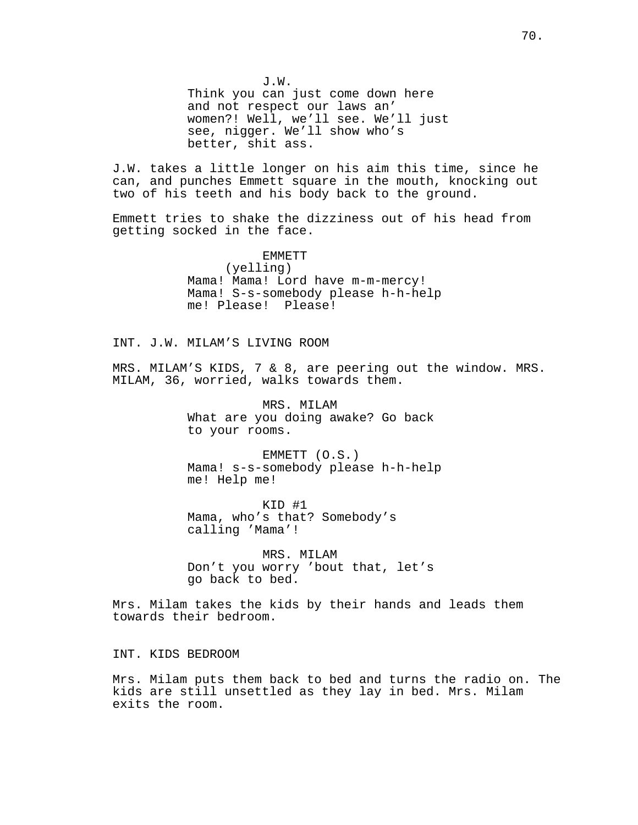J.W. Think you can just come down here and not respect our laws an' women?! Well, we'll see. We'll just see, nigger. We'll show who's better, shit ass.

J.W. takes a little longer on his aim this time, since he can, and punches Emmett square in the mouth, knocking out two of his teeth and his body back to the ground.

Emmett tries to shake the dizziness out of his head from getting socked in the face.

> EMMETT (yelling) Mama! Mama! Lord have m-m-mercy! Mama! S-s-somebody please h-h-help me! Please! Please!

INT. J.W. MILAM'S LIVING ROOM

MRS. MILAM'S KIDS, 7 & 8, are peering out the window. MRS. MILAM, 36, worried, walks towards them.

> MRS. MILAM What are you doing awake? Go back to your rooms.

EMMETT (O.S.) Mama! s-s-somebody please h-h-help me! Help me!

KID #1 Mama, who's that? Somebody's calling 'Mama'!

MRS. MILAM Don't you worry 'bout that, let's go back to bed.

Mrs. Milam takes the kids by their hands and leads them towards their bedroom.

INT. KIDS BEDROOM

Mrs. Milam puts them back to bed and turns the radio on. The kids are still unsettled as they lay in bed. Mrs. Milam exits the room.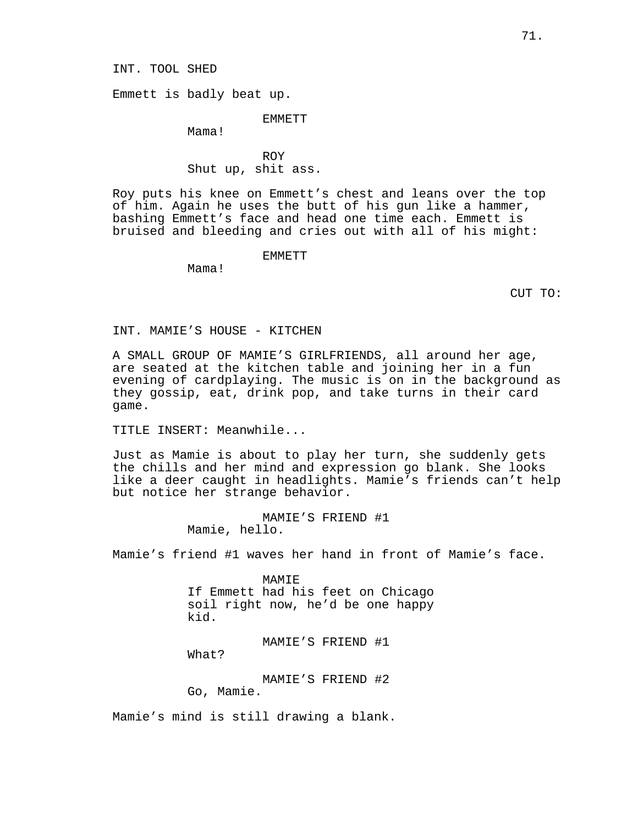INT. TOOL SHED

Emmett is badly beat up.

EMMETT

Mama!

ROY Shut up, shit ass.

Roy puts his knee on Emmett's chest and leans over the top of him. Again he uses the butt of his gun like a hammer, bashing Emmett's face and head one time each. Emmett is bruised and bleeding and cries out with all of his might:

EMMETT

Mama!

CUT TO:

INT. MAMIE'S HOUSE - KITCHEN

A SMALL GROUP OF MAMIE'S GIRLFRIENDS, all around her age, are seated at the kitchen table and joining her in a fun evening of cardplaying. The music is on in the background as they gossip, eat, drink pop, and take turns in their card game.

TITLE INSERT: Meanwhile...

Just as Mamie is about to play her turn, she suddenly gets the chills and her mind and expression go blank. She looks like a deer caught in headlights. Mamie's friends can't help but notice her strange behavior.

> MAMIE'S FRIEND #1 Mamie, hello.

Mamie's friend #1 waves her hand in front of Mamie's face.

MAMIE If Emmett had his feet on Chicago soil right now, he'd be one happy kid.

MAMIE'S FRIEND #1

What?

MAMIE'S FRIEND #2 Go, Mamie.

Mamie's mind is still drawing a blank.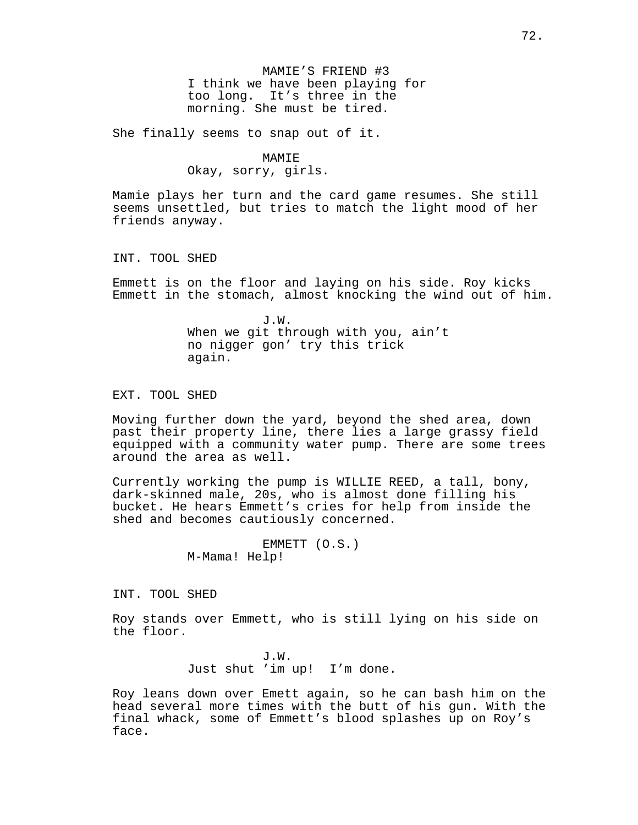MAMIE'S FRIEND #3 I think we have been playing for too long. It's three in the morning. She must be tired.

She finally seems to snap out of it.

# MAMIE

Okay, sorry, girls.

Mamie plays her turn and the card game resumes. She still seems unsettled, but tries to match the light mood of her friends anyway.

INT. TOOL SHED

Emmett is on the floor and laying on his side. Roy kicks Emmett in the stomach, almost knocking the wind out of him.

> J.W. When we git through with you, ain't no nigger gon' try this trick again.

EXT. TOOL SHED

Moving further down the yard, beyond the shed area, down past their property line, there lies a large grassy field equipped with a community water pump. There are some trees around the area as well.

Currently working the pump is WILLIE REED, a tall, bony, dark-skinned male, 20s, who is almost done filling his bucket. He hears Emmett's cries for help from inside the shed and becomes cautiously concerned.

> EMMETT (O.S.) M-Mama! Help!

INT. TOOL SHED

Roy stands over Emmett, who is still lying on his side on the floor.

> J.W. Just shut 'im up! I'm done.

Roy leans down over Emett again, so he can bash him on the head several more times with the butt of his gun. With the final whack, some of Emmett's blood splashes up on Roy's face.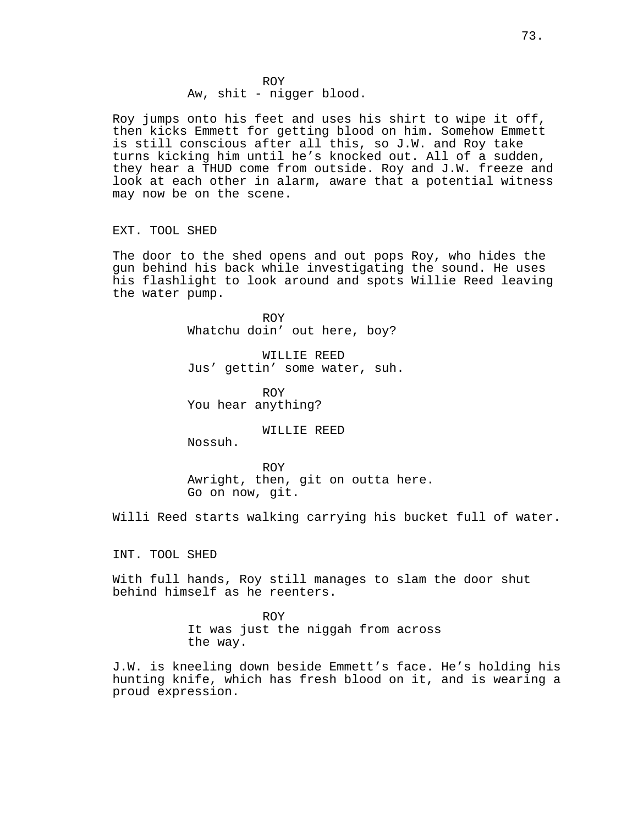# ROY Aw, shit - nigger blood.

Roy jumps onto his feet and uses his shirt to wipe it off, then kicks Emmett for getting blood on him. Somehow Emmett is still conscious after all this, so J.W. and Roy take turns kicking him until he's knocked out. All of a sudden, they hear a THUD come from outside. Roy and J.W. freeze and look at each other in alarm, aware that a potential witness may now be on the scene.

# EXT. TOOL SHED

The door to the shed opens and out pops Roy, who hides the gun behind his back while investigating the sound. He uses his flashlight to look around and spots Willie Reed leaving the water pump.

> ROY Whatchu doin' out here, boy?

WILLIE REED Jus' gettin' some water, suh.

ROY You hear anything?

WILLIE REED

Nossuh.

ROY Awright, then, git on outta here. Go on now, git.

Willi Reed starts walking carrying his bucket full of water.

INT. TOOL SHED

With full hands, Roy still manages to slam the door shut behind himself as he reenters.

> ROY It was just the niggah from across the way.

J.W. is kneeling down beside Emmett's face. He's holding his hunting knife, which has fresh blood on it, and is wearing a proud expression.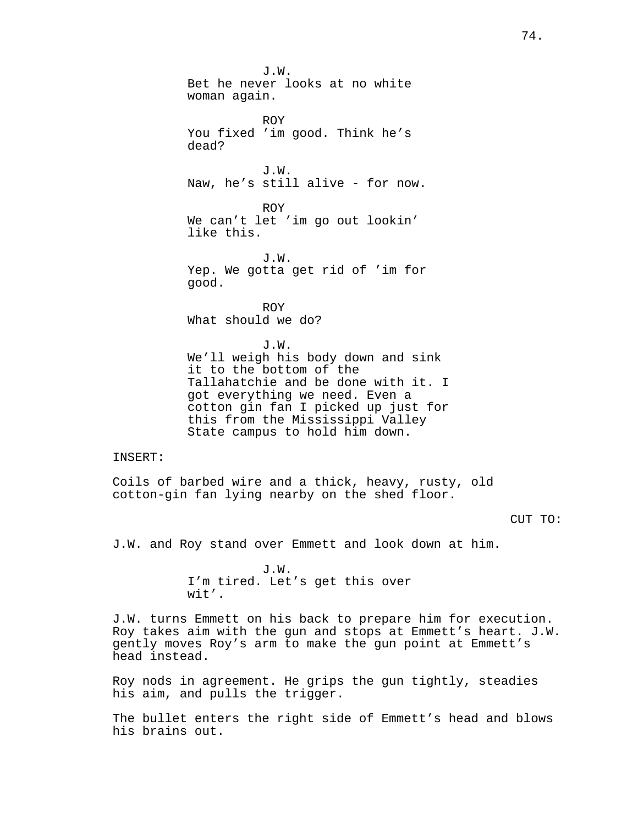J.W. Bet he never looks at no white woman again. ROY You fixed 'im good. Think he's dead? J.W. Naw, he's still alive - for now. ROY We can't let 'im go out lookin' like this. J.W. Yep. We gotta get rid of 'im for good. ROY What should we do? J.W. We'll weigh his body down and sink it to the bottom of the Tallahatchie and be done with it. I got everything we need. Even a cotton gin fan I picked up just for this from the Mississippi Valley State campus to hold him down.

# INSERT:

Coils of barbed wire and a thick, heavy, rusty, old cotton-gin fan lying nearby on the shed floor.

#### CUT TO:

J.W. and Roy stand over Emmett and look down at him.

J.W. I'm tired. Let's get this over wit'.

J.W. turns Emmett on his back to prepare him for execution. Roy takes aim with the gun and stops at Emmett's heart. J.W. gently moves Roy's arm to make the gun point at Emmett's head instead.

Roy nods in agreement. He grips the gun tightly, steadies his aim, and pulls the trigger.

The bullet enters the right side of Emmett's head and blows his brains out.